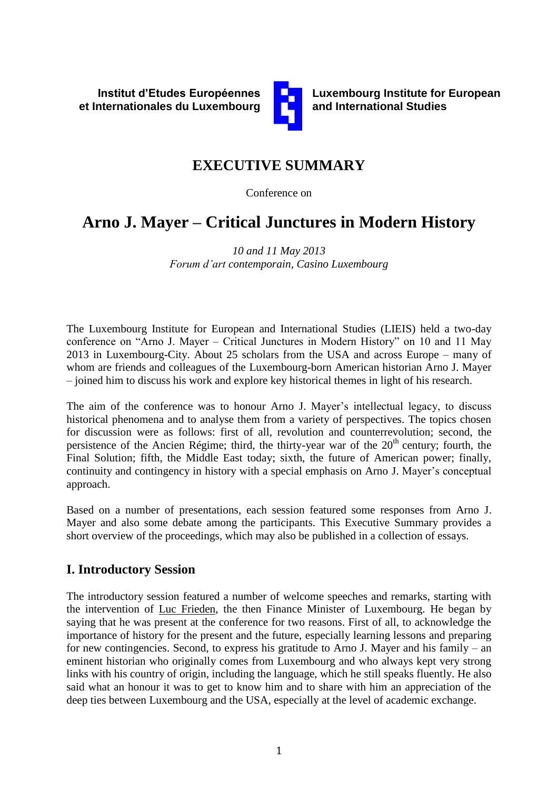

**Luxembourg Institute for European and International Studies**

# **EXECUTIVE SUMMARY**

Conference on

# **Arno J. Mayer – Critical Junctures in Modern History**

*10 and 11 May 2013 Forum d'art contemporain, Casino Luxembourg*

The Luxembourg Institute for European and International Studies (LIEIS) held a two-day conference on "Arno J. Mayer – Critical Junctures in Modern History" on 10 and 11 May 2013 in Luxembourg-City. About 25 scholars from the USA and across Europe – many of whom are friends and colleagues of the Luxembourg-born American historian Arno J. Mayer – joined him to discuss his work and explore key historical themes in light of his research.

The aim of the conference was to honour Arno J. Mayer's intellectual legacy, to discuss historical phenomena and to analyse them from a variety of perspectives. The topics chosen for discussion were as follows: first of all, revolution and counterrevolution; second, the persistence of the Ancien Régime; third, the thirty-year war of the  $20<sup>th</sup>$  century; fourth, the Final Solution; fifth, the Middle East today; sixth, the future of American power; finally, continuity and contingency in history with a special emphasis on Arno J. Mayer's conceptual approach.

Based on a number of presentations, each session featured some responses from Arno J. Mayer and also some debate among the participants. This Executive Summary provides a short overview of the proceedings, which may also be published in a collection of essays.

### **I. Introductory Session**

The introductory session featured a number of welcome speeches and remarks, starting with the intervention of Luc Frieden, the then Finance Minister of Luxembourg. He began by saying that he was present at the conference for two reasons. First of all, to acknowledge the importance of history for the present and the future, especially learning lessons and preparing for new contingencies. Second, to express his gratitude to Arno J. Mayer and his family – an eminent historian who originally comes from Luxembourg and who always kept very strong links with his country of origin, including the language, which he still speaks fluently. He also said what an honour it was to get to know him and to share with him an appreciation of the deep ties between Luxembourg and the USA, especially at the level of academic exchange.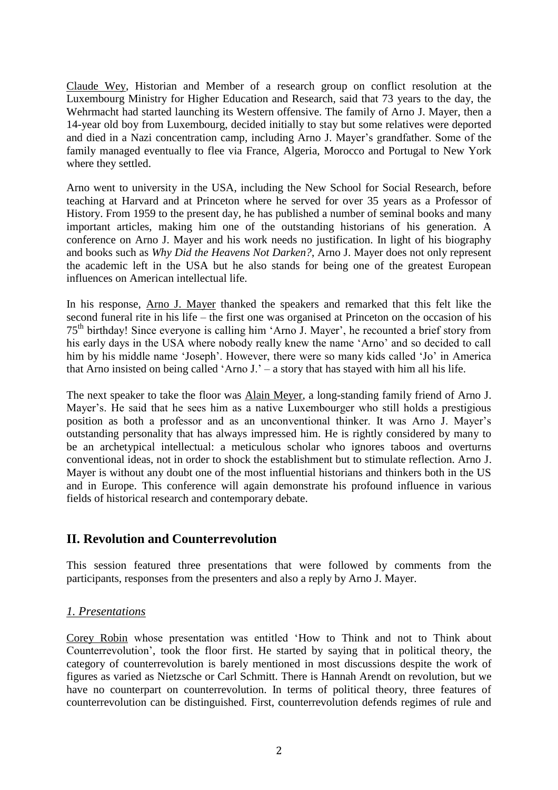Claude Wey, Historian and Member of a research group on conflict resolution at the Luxembourg Ministry for Higher Education and Research, said that 73 years to the day, the Wehrmacht had started launching its Western offensive. The family of Arno J. Mayer, then a 14-year old boy from Luxembourg, decided initially to stay but some relatives were deported and died in a Nazi concentration camp, including Arno J. Mayer's grandfather. Some of the family managed eventually to flee via France, Algeria, Morocco and Portugal to New York where they settled.

Arno went to university in the USA, including the New School for Social Research, before teaching at Harvard and at Princeton where he served for over 35 years as a Professor of History. From 1959 to the present day, he has published a number of seminal books and many important articles, making him one of the outstanding historians of his generation. A conference on Arno J. Mayer and his work needs no justification. In light of his biography and books such as *Why Did the Heavens Not Darken?*, Arno J. Mayer does not only represent the academic left in the USA but he also stands for being one of the greatest European influences on American intellectual life.

In his response, Arno J. Mayer thanked the speakers and remarked that this felt like the second funeral rite in his life – the first one was organised at Princeton on the occasion of his 75th birthday! Since everyone is calling him 'Arno J. Mayer', he recounted a brief story from his early days in the USA where nobody really knew the name 'Arno' and so decided to call him by his middle name 'Joseph'. However, there were so many kids called 'Jo' in America that Arno insisted on being called 'Arno J.' – a story that has stayed with him all his life.

The next speaker to take the floor was Alain Meyer, a long-standing family friend of Arno J. Mayer's. He said that he sees him as a native Luxembourger who still holds a prestigious position as both a professor and as an unconventional thinker. It was Arno J. Mayer's outstanding personality that has always impressed him. He is rightly considered by many to be an archetypical intellectual: a meticulous scholar who ignores taboos and overturns conventional ideas, not in order to shock the establishment but to stimulate reflection. Arno J. Mayer is without any doubt one of the most influential historians and thinkers both in the US and in Europe. This conference will again demonstrate his profound influence in various fields of historical research and contemporary debate.

### **II. Revolution and Counterrevolution**

This session featured three presentations that were followed by comments from the participants, responses from the presenters and also a reply by Arno J. Mayer.

#### *1. Presentations*

Corey Robin whose presentation was entitled 'How to Think and not to Think about Counterrevolution', took the floor first. He started by saying that in political theory, the category of counterrevolution is barely mentioned in most discussions despite the work of figures as varied as Nietzsche or Carl Schmitt. There is Hannah Arendt on revolution, but we have no counterpart on counterrevolution. In terms of political theory, three features of counterrevolution can be distinguished. First, counterrevolution defends regimes of rule and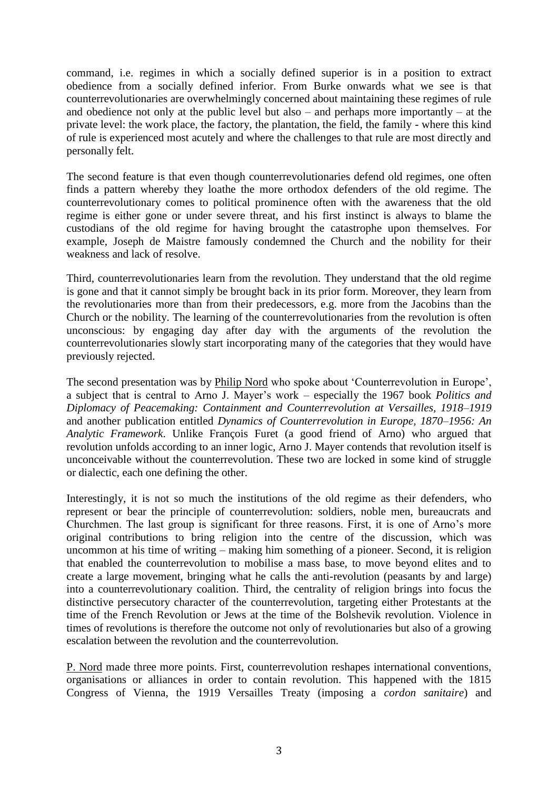command, i.e. regimes in which a socially defined superior is in a position to extract obedience from a socially defined inferior. From Burke onwards what we see is that counterrevolutionaries are overwhelmingly concerned about maintaining these regimes of rule and obedience not only at the public level but also – and perhaps more importantly – at the private level: the work place, the factory, the plantation, the field, the family - where this kind of rule is experienced most acutely and where the challenges to that rule are most directly and personally felt.

The second feature is that even though counterrevolutionaries defend old regimes, one often finds a pattern whereby they loathe the more orthodox defenders of the old regime. The counterrevolutionary comes to political prominence often with the awareness that the old regime is either gone or under severe threat, and his first instinct is always to blame the custodians of the old regime for having brought the catastrophe upon themselves. For example, Joseph de Maistre famously condemned the Church and the nobility for their weakness and lack of resolve.

Third, counterrevolutionaries learn from the revolution. They understand that the old regime is gone and that it cannot simply be brought back in its prior form. Moreover, they learn from the revolutionaries more than from their predecessors, e.g. more from the Jacobins than the Church or the nobility. The learning of the counterrevolutionaries from the revolution is often unconscious: by engaging day after day with the arguments of the revolution the counterrevolutionaries slowly start incorporating many of the categories that they would have previously rejected.

The second presentation was by Philip Nord who spoke about 'Counterrevolution in Europe', a subject that is central to Arno J. Mayer's work – especially the 1967 book *Politics and Diplomacy of Peacemaking: Containment and Counterrevolution at Versailles, 1918–1919*  and another publication entitled *Dynamics of Counterrevolution in Europe, 1870–1956: An Analytic Framework*. Unlike François Furet (a good friend of Arno) who argued that revolution unfolds according to an inner logic, Arno J. Mayer contends that revolution itself is unconceivable without the counterrevolution. These two are locked in some kind of struggle or dialectic, each one defining the other.

Interestingly, it is not so much the institutions of the old regime as their defenders, who represent or bear the principle of counterrevolution: soldiers, noble men, bureaucrats and Churchmen. The last group is significant for three reasons. First, it is one of Arno's more original contributions to bring religion into the centre of the discussion, which was uncommon at his time of writing – making him something of a pioneer. Second, it is religion that enabled the counterrevolution to mobilise a mass base, to move beyond elites and to create a large movement, bringing what he calls the anti-revolution (peasants by and large) into a counterrevolutionary coalition. Third, the centrality of religion brings into focus the distinctive persecutory character of the counterrevolution, targeting either Protestants at the time of the French Revolution or Jews at the time of the Bolshevik revolution. Violence in times of revolutions is therefore the outcome not only of revolutionaries but also of a growing escalation between the revolution and the counterrevolution.

P. Nord made three more points. First, counterrevolution reshapes international conventions, organisations or alliances in order to contain revolution. This happened with the 1815 Congress of Vienna, the 1919 Versailles Treaty (imposing a *cordon sanitaire*) and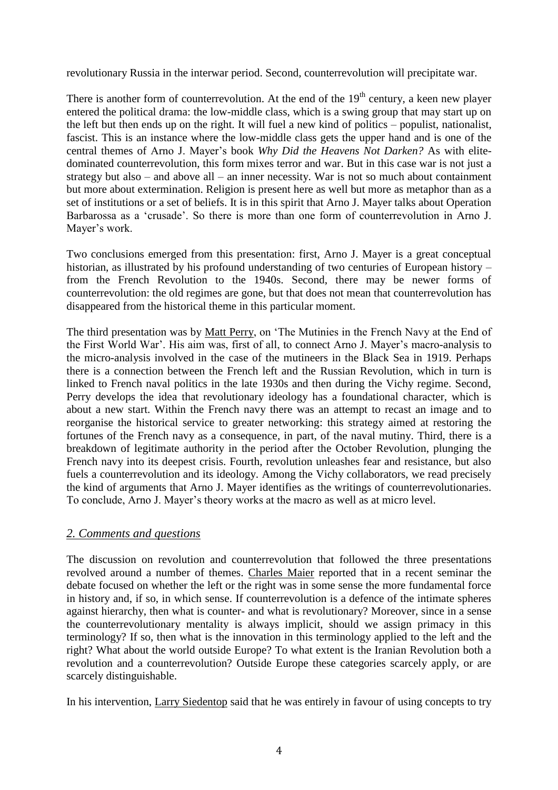revolutionary Russia in the interwar period. Second, counterrevolution will precipitate war.

There is another form of counterrevolution. At the end of the  $19<sup>th</sup>$  century, a keen new player entered the political drama: the low-middle class, which is a swing group that may start up on the left but then ends up on the right. It will fuel a new kind of politics – populist, nationalist, fascist. This is an instance where the low-middle class gets the upper hand and is one of the central themes of Arno J. Mayer's book *Why Did the Heavens Not Darken?* As with elitedominated counterrevolution, this form mixes terror and war. But in this case war is not just a strategy but also – and above all – an inner necessity. War is not so much about containment but more about extermination. Religion is present here as well but more as metaphor than as a set of institutions or a set of beliefs. It is in this spirit that Arno J. Mayer talks about Operation Barbarossa as a 'crusade'. So there is more than one form of counterrevolution in Arno J. Mayer's work.

Two conclusions emerged from this presentation: first, Arno J. Mayer is a great conceptual historian, as illustrated by his profound understanding of two centuries of European history – from the French Revolution to the 1940s. Second, there may be newer forms of counterrevolution: the old regimes are gone, but that does not mean that counterrevolution has disappeared from the historical theme in this particular moment.

The third presentation was by Matt Perry, on 'The Mutinies in the French Navy at the End of the First World War'. His aim was, first of all, to connect Arno J. Mayer's macro-analysis to the micro-analysis involved in the case of the mutineers in the Black Sea in 1919. Perhaps there is a connection between the French left and the Russian Revolution, which in turn is linked to French naval politics in the late 1930s and then during the Vichy regime. Second, Perry develops the idea that revolutionary ideology has a foundational character, which is about a new start. Within the French navy there was an attempt to recast an image and to reorganise the historical service to greater networking: this strategy aimed at restoring the fortunes of the French navy as a consequence, in part, of the naval mutiny. Third, there is a breakdown of legitimate authority in the period after the October Revolution, plunging the French navy into its deepest crisis. Fourth, revolution unleashes fear and resistance, but also fuels a counterrevolution and its ideology. Among the Vichy collaborators, we read precisely the kind of arguments that Arno J. Mayer identifies as the writings of counterrevolutionaries. To conclude, Arno J. Mayer's theory works at the macro as well as at micro level.

#### *2. Comments and questions*

The discussion on revolution and counterrevolution that followed the three presentations revolved around a number of themes. Charles Maier reported that in a recent seminar the debate focused on whether the left or the right was in some sense the more fundamental force in history and, if so, in which sense. If counterrevolution is a defence of the intimate spheres against hierarchy, then what is counter- and what is revolutionary? Moreover, since in a sense the counterrevolutionary mentality is always implicit, should we assign primacy in this terminology? If so, then what is the innovation in this terminology applied to the left and the right? What about the world outside Europe? To what extent is the Iranian Revolution both a revolution and a counterrevolution? Outside Europe these categories scarcely apply, or are scarcely distinguishable.

In his intervention, Larry Siedentop said that he was entirely in favour of using concepts to try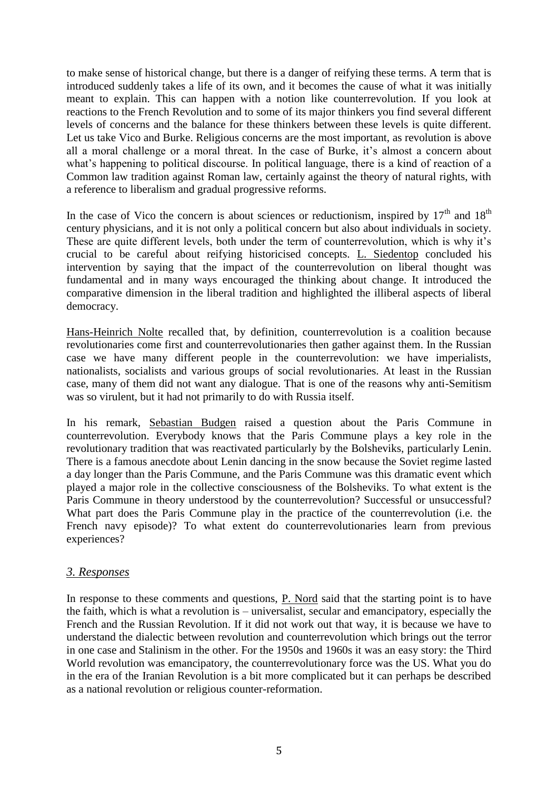to make sense of historical change, but there is a danger of reifying these terms. A term that is introduced suddenly takes a life of its own, and it becomes the cause of what it was initially meant to explain. This can happen with a notion like counterrevolution. If you look at reactions to the French Revolution and to some of its major thinkers you find several different levels of concerns and the balance for these thinkers between these levels is quite different. Let us take Vico and Burke. Religious concerns are the most important, as revolution is above all a moral challenge or a moral threat. In the case of Burke, it's almost a concern about what's happening to political discourse. In political language, there is a kind of reaction of a Common law tradition against Roman law, certainly against the theory of natural rights, with a reference to liberalism and gradual progressive reforms.

In the case of Vico the concern is about sciences or reductionism, inspired by  $17<sup>th</sup>$  and  $18<sup>th</sup>$ century physicians, and it is not only a political concern but also about individuals in society. These are quite different levels, both under the term of counterrevolution, which is why it's crucial to be careful about reifying historicised concepts. L. Siedentop concluded his intervention by saying that the impact of the counterrevolution on liberal thought was fundamental and in many ways encouraged the thinking about change. It introduced the comparative dimension in the liberal tradition and highlighted the illiberal aspects of liberal democracy.

Hans-Heinrich Nolte recalled that, by definition, counterrevolution is a coalition because revolutionaries come first and counterrevolutionaries then gather against them. In the Russian case we have many different people in the counterrevolution: we have imperialists, nationalists, socialists and various groups of social revolutionaries. At least in the Russian case, many of them did not want any dialogue. That is one of the reasons why anti-Semitism was so virulent, but it had not primarily to do with Russia itself.

In his remark, Sebastian Budgen raised a question about the Paris Commune in counterrevolution. Everybody knows that the Paris Commune plays a key role in the revolutionary tradition that was reactivated particularly by the Bolsheviks, particularly Lenin. There is a famous anecdote about Lenin dancing in the snow because the Soviet regime lasted a day longer than the Paris Commune, and the Paris Commune was this dramatic event which played a major role in the collective consciousness of the Bolsheviks. To what extent is the Paris Commune in theory understood by the counterrevolution? Successful or unsuccessful? What part does the Paris Commune play in the practice of the counterrevolution (i.e. the French navy episode)? To what extent do counterrevolutionaries learn from previous experiences?

#### *3. Responses*

In response to these comments and questions, P. Nord said that the starting point is to have the faith, which is what a revolution is – universalist, secular and emancipatory, especially the French and the Russian Revolution. If it did not work out that way, it is because we have to understand the dialectic between revolution and counterrevolution which brings out the terror in one case and Stalinism in the other. For the 1950s and 1960s it was an easy story: the Third World revolution was emancipatory, the counterrevolutionary force was the US. What you do in the era of the Iranian Revolution is a bit more complicated but it can perhaps be described as a national revolution or religious counter-reformation.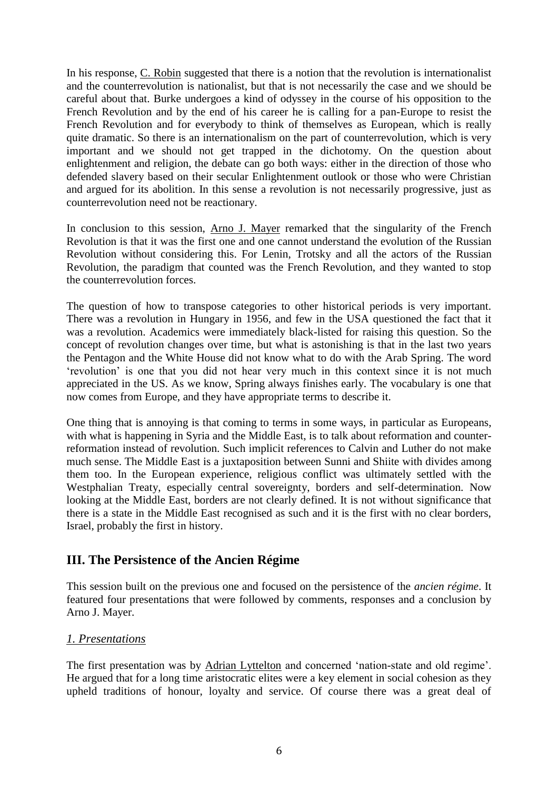In his response, C. Robin suggested that there is a notion that the revolution is internationalist and the counterrevolution is nationalist, but that is not necessarily the case and we should be careful about that. Burke undergoes a kind of odyssey in the course of his opposition to the French Revolution and by the end of his career he is calling for a pan-Europe to resist the French Revolution and for everybody to think of themselves as European, which is really quite dramatic. So there is an internationalism on the part of counterrevolution, which is very important and we should not get trapped in the dichotomy. On the question about enlightenment and religion, the debate can go both ways: either in the direction of those who defended slavery based on their secular Enlightenment outlook or those who were Christian and argued for its abolition. In this sense a revolution is not necessarily progressive, just as counterrevolution need not be reactionary.

In conclusion to this session, Arno J. Mayer remarked that the singularity of the French Revolution is that it was the first one and one cannot understand the evolution of the Russian Revolution without considering this. For Lenin, Trotsky and all the actors of the Russian Revolution, the paradigm that counted was the French Revolution, and they wanted to stop the counterrevolution forces.

The question of how to transpose categories to other historical periods is very important. There was a revolution in Hungary in 1956, and few in the USA questioned the fact that it was a revolution. Academics were immediately black-listed for raising this question. So the concept of revolution changes over time, but what is astonishing is that in the last two years the Pentagon and the White House did not know what to do with the Arab Spring. The word 'revolution' is one that you did not hear very much in this context since it is not much appreciated in the US. As we know, Spring always finishes early. The vocabulary is one that now comes from Europe, and they have appropriate terms to describe it.

One thing that is annoying is that coming to terms in some ways, in particular as Europeans, with what is happening in Syria and the Middle East, is to talk about reformation and counterreformation instead of revolution. Such implicit references to Calvin and Luther do not make much sense. The Middle East is a juxtaposition between Sunni and Shiite with divides among them too. In the European experience, religious conflict was ultimately settled with the Westphalian Treaty, especially central sovereignty, borders and self-determination. Now looking at the Middle East, borders are not clearly defined. It is not without significance that there is a state in the Middle East recognised as such and it is the first with no clear borders, Israel, probably the first in history.

### **III. The Persistence of the Ancien Régime**

This session built on the previous one and focused on the persistence of the *ancien régime*. It featured four presentations that were followed by comments, responses and a conclusion by Arno J. Mayer.

#### *1. Presentations*

The first presentation was by Adrian Lyttelton and concerned 'nation-state and old regime'. He argued that for a long time aristocratic elites were a key element in social cohesion as they upheld traditions of honour, loyalty and service. Of course there was a great deal of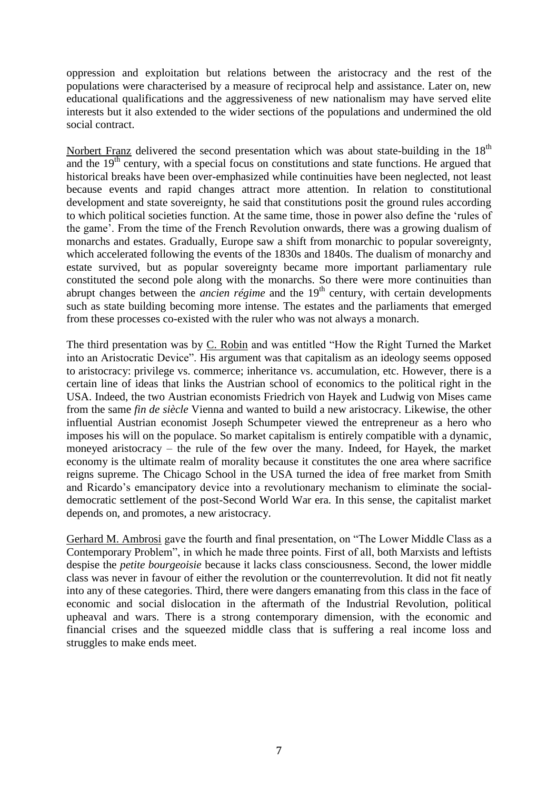oppression and exploitation but relations between the aristocracy and the rest of the populations were characterised by a measure of reciprocal help and assistance. Later on, new educational qualifications and the aggressiveness of new nationalism may have served elite interests but it also extended to the wider sections of the populations and undermined the old social contract.

Norbert Franz delivered the second presentation which was about state-building in the  $18<sup>th</sup>$ and the  $19<sup>th</sup>$  century, with a special focus on constitutions and state functions. He argued that historical breaks have been over-emphasized while continuities have been neglected, not least because events and rapid changes attract more attention. In relation to constitutional development and state sovereignty, he said that constitutions posit the ground rules according to which political societies function. At the same time, those in power also define the 'rules of the game'. From the time of the French Revolution onwards, there was a growing dualism of monarchs and estates. Gradually, Europe saw a shift from monarchic to popular sovereignty, which accelerated following the events of the 1830s and 1840s. The dualism of monarchy and estate survived, but as popular sovereignty became more important parliamentary rule constituted the second pole along with the monarchs. So there were more continuities than abrupt changes between the *ancien régime* and the 19<sup>th</sup> century, with certain developments such as state building becoming more intense. The estates and the parliaments that emerged from these processes co-existed with the ruler who was not always a monarch.

The third presentation was by C. Robin and was entitled "How the Right Turned the Market into an Aristocratic Device". His argument was that capitalism as an ideology seems opposed to aristocracy: privilege vs. commerce; inheritance vs. accumulation, etc. However, there is a certain line of ideas that links the Austrian school of economics to the political right in the USA. Indeed, the two Austrian economists Friedrich von Hayek and Ludwig von Mises came from the same *fin de siècle* Vienna and wanted to build a new aristocracy. Likewise, the other influential Austrian economist Joseph Schumpeter viewed the entrepreneur as a hero who imposes his will on the populace. So market capitalism is entirely compatible with a dynamic, moneyed aristocracy – the rule of the few over the many. Indeed, for Hayek, the market economy is the ultimate realm of morality because it constitutes the one area where sacrifice reigns supreme. The Chicago School in the USA turned the idea of free market from Smith and Ricardo's emancipatory device into a revolutionary mechanism to eliminate the socialdemocratic settlement of the post-Second World War era. In this sense, the capitalist market depends on, and promotes, a new aristocracy.

Gerhard M. Ambrosi gave the fourth and final presentation, on "The Lower Middle Class as a Contemporary Problem", in which he made three points. First of all, both Marxists and leftists despise the *petite bourgeoisie* because it lacks class consciousness. Second, the lower middle class was never in favour of either the revolution or the counterrevolution. It did not fit neatly into any of these categories. Third, there were dangers emanating from this class in the face of economic and social dislocation in the aftermath of the Industrial Revolution, political upheaval and wars. There is a strong contemporary dimension, with the economic and financial crises and the squeezed middle class that is suffering a real income loss and struggles to make ends meet.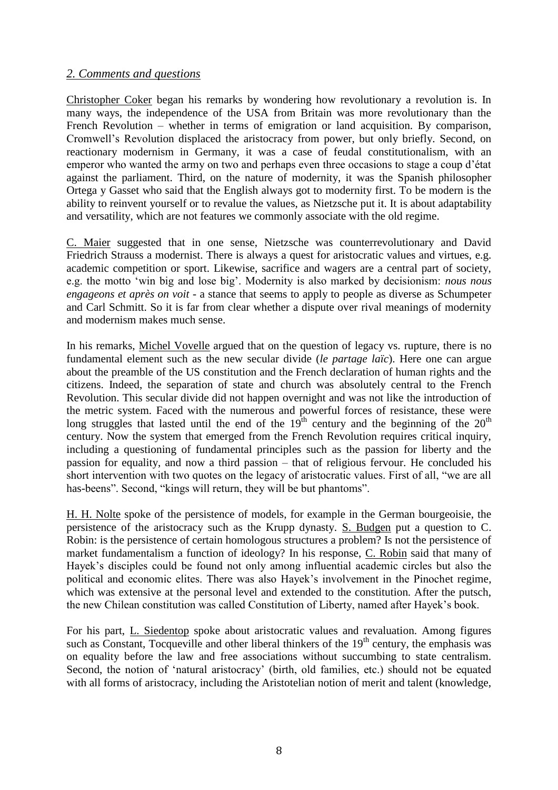#### *2. Comments and questions*

Christopher Coker began his remarks by wondering how revolutionary a revolution is. In many ways, the independence of the USA from Britain was more revolutionary than the French Revolution – whether in terms of emigration or land acquisition. By comparison, Cromwell's Revolution displaced the aristocracy from power, but only briefly. Second, on reactionary modernism in Germany, it was a case of feudal constitutionalism, with an emperor who wanted the army on two and perhaps even three occasions to stage a coup d'état against the parliament. Third, on the nature of modernity, it was the Spanish philosopher Ortega y Gasset who said that the English always got to modernity first. To be modern is the ability to reinvent yourself or to revalue the values, as Nietzsche put it. It is about adaptability and versatility, which are not features we commonly associate with the old regime.

C. Maier suggested that in one sense, Nietzsche was counterrevolutionary and David Friedrich Strauss a modernist. There is always a quest for aristocratic values and virtues, e.g. academic competition or sport. Likewise, sacrifice and wagers are a central part of society, e.g. the motto 'win big and lose big'. Modernity is also marked by decisionism: *nous nous engageons et après on voit* - a stance that seems to apply to people as diverse as Schumpeter and Carl Schmitt. So it is far from clear whether a dispute over rival meanings of modernity and modernism makes much sense.

In his remarks, Michel Vovelle argued that on the question of legacy vs. rupture, there is no fundamental element such as the new secular divide (*le partage laïc*). Here one can argue about the preamble of the US constitution and the French declaration of human rights and the citizens. Indeed, the separation of state and church was absolutely central to the French Revolution. This secular divide did not happen overnight and was not like the introduction of the metric system. Faced with the numerous and powerful forces of resistance, these were long struggles that lasted until the end of the  $19<sup>th</sup>$  century and the beginning of the  $20<sup>th</sup>$ century. Now the system that emerged from the French Revolution requires critical inquiry, including a questioning of fundamental principles such as the passion for liberty and the passion for equality, and now a third passion – that of religious fervour. He concluded his short intervention with two quotes on the legacy of aristocratic values. First of all, "we are all has-beens". Second, "kings will return, they will be but phantoms".

H. H. Nolte spoke of the persistence of models, for example in the German bourgeoisie, the persistence of the aristocracy such as the Krupp dynasty. S. Budgen put a question to C. Robin: is the persistence of certain homologous structures a problem? Is not the persistence of market fundamentalism a function of ideology? In his response, C. Robin said that many of Hayek's disciples could be found not only among influential academic circles but also the political and economic elites. There was also Hayek's involvement in the Pinochet regime, which was extensive at the personal level and extended to the constitution. After the putsch, the new Chilean constitution was called Constitution of Liberty, named after Hayek's book.

For his part, L. Siedentop spoke about aristocratic values and revaluation. Among figures such as Constant, Tocqueville and other liberal thinkers of the  $19<sup>th</sup>$  century, the emphasis was on equality before the law and free associations without succumbing to state centralism. Second, the notion of 'natural aristocracy' (birth, old families, etc.) should not be equated with all forms of aristocracy, including the Aristotelian notion of merit and talent (knowledge,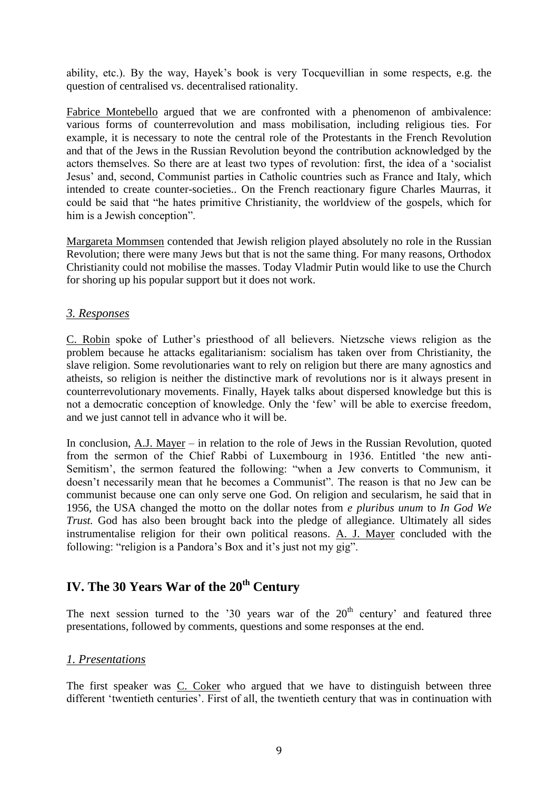ability, etc.). By the way, Hayek's book is very Tocquevillian in some respects, e.g. the question of centralised vs. decentralised rationality.

Fabrice Montebello argued that we are confronted with a phenomenon of ambivalence: various forms of counterrevolution and mass mobilisation, including religious ties. For example, it is necessary to note the central role of the Protestants in the French Revolution and that of the Jews in the Russian Revolution beyond the contribution acknowledged by the actors themselves. So there are at least two types of revolution: first, the idea of a 'socialist Jesus' and, second, Communist parties in Catholic countries such as France and Italy, which intended to create counter-societies.. On the French reactionary figure Charles Maurras, it could be said that "he hates primitive Christianity, the worldview of the gospels, which for him is a Jewish conception".

Margareta Mommsen contended that Jewish religion played absolutely no role in the Russian Revolution; there were many Jews but that is not the same thing. For many reasons, Orthodox Christianity could not mobilise the masses. Today Vladmir Putin would like to use the Church for shoring up his popular support but it does not work.

#### *3. Responses*

C. Robin spoke of Luther's priesthood of all believers. Nietzsche views religion as the problem because he attacks egalitarianism: socialism has taken over from Christianity, the slave religion. Some revolutionaries want to rely on religion but there are many agnostics and atheists, so religion is neither the distinctive mark of revolutions nor is it always present in counterrevolutionary movements. Finally, Hayek talks about dispersed knowledge but this is not a democratic conception of knowledge. Only the 'few' will be able to exercise freedom, and we just cannot tell in advance who it will be.

In conclusion, A.J. Mayer – in relation to the role of Jews in the Russian Revolution, quoted from the sermon of the Chief Rabbi of Luxembourg in 1936. Entitled 'the new anti-Semitism', the sermon featured the following: "when a Jew converts to Communism, it doesn't necessarily mean that he becomes a Communist". The reason is that no Jew can be communist because one can only serve one God. On religion and secularism, he said that in 1956, the USA changed the motto on the dollar notes from *e pluribus unum* to *In God We Trust.* God has also been brought back into the pledge of allegiance. Ultimately all sides instrumentalise religion for their own political reasons. A. J. Mayer concluded with the following: "religion is a Pandora's Box and it's just not my gig".

# **IV. The 30 Years War of the 20th Century**

The next session turned to the  $30$  years war of the  $20<sup>th</sup>$  century' and featured three presentations, followed by comments, questions and some responses at the end.

#### *1. Presentations*

The first speaker was C. Coker who argued that we have to distinguish between three different 'twentieth centuries'. First of all, the twentieth century that was in continuation with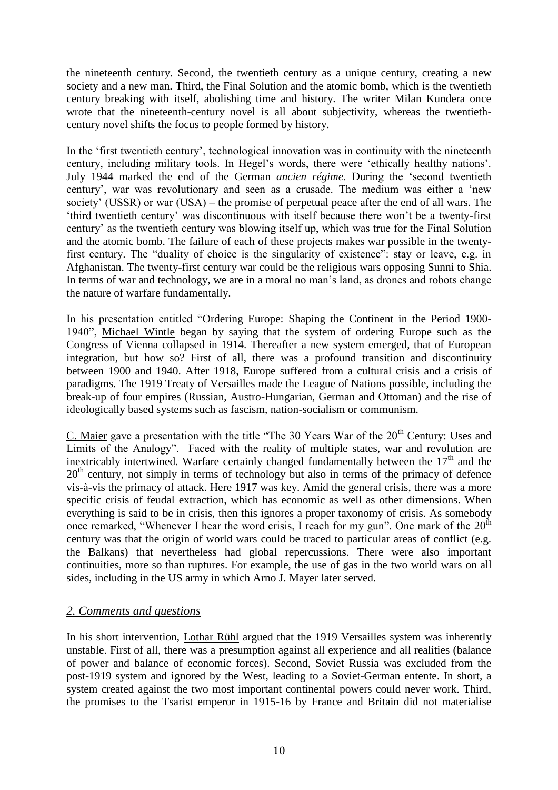the nineteenth century. Second, the twentieth century as a unique century, creating a new society and a new man. Third, the Final Solution and the atomic bomb, which is the twentieth century breaking with itself, abolishing time and history. The writer Milan Kundera once wrote that the nineteenth-century novel is all about subjectivity, whereas the twentiethcentury novel shifts the focus to people formed by history.

In the 'first twentieth century', technological innovation was in continuity with the nineteenth century, including military tools. In Hegel's words, there were 'ethically healthy nations'. July 1944 marked the end of the German *ancien régime*. During the 'second twentieth century', war was revolutionary and seen as a crusade. The medium was either a 'new society' (USSR) or war (USA) – the promise of perpetual peace after the end of all wars. The 'third twentieth century' was discontinuous with itself because there won't be a twenty-first century' as the twentieth century was blowing itself up, which was true for the Final Solution and the atomic bomb. The failure of each of these projects makes war possible in the twentyfirst century. The "duality of choice is the singularity of existence": stay or leave, e.g. in Afghanistan. The twenty-first century war could be the religious wars opposing Sunni to Shia. In terms of war and technology, we are in a moral no man's land, as drones and robots change the nature of warfare fundamentally.

In his presentation entitled "Ordering Europe: Shaping the Continent in the Period 1900- 1940", Michael Wintle began by saying that the system of ordering Europe such as the Congress of Vienna collapsed in 1914. Thereafter a new system emerged, that of European integration, but how so? First of all, there was a profound transition and discontinuity between 1900 and 1940. After 1918, Europe suffered from a cultural crisis and a crisis of paradigms. The 1919 Treaty of Versailles made the League of Nations possible, including the break-up of four empires (Russian, Austro-Hungarian, German and Ottoman) and the rise of ideologically based systems such as fascism, nation-socialism or communism.

C. Maier gave a presentation with the title "The 30 Years War of the  $20<sup>th</sup>$  Century: Uses and Limits of the Analogy". Faced with the reality of multiple states, war and revolution are inextricably intertwined. Warfare certainly changed fundamentally between the  $17<sup>th</sup>$  and the 20<sup>th</sup> century, not simply in terms of technology but also in terms of the primacy of defence vis-à-vis the primacy of attack. Here 1917 was key. Amid the general crisis, there was a more specific crisis of feudal extraction, which has economic as well as other dimensions. When everything is said to be in crisis, then this ignores a proper taxonomy of crisis. As somebody once remarked, "Whenever I hear the word crisis, I reach for my gun". One mark of the  $20<sup>th</sup>$ century was that the origin of world wars could be traced to particular areas of conflict (e.g. the Balkans) that nevertheless had global repercussions. There were also important continuities, more so than ruptures. For example, the use of gas in the two world wars on all sides, including in the US army in which Arno J. Mayer later served.

#### *2. Comments and questions*

In his short intervention, Lothar Rühl argued that the 1919 Versailles system was inherently unstable. First of all, there was a presumption against all experience and all realities (balance of power and balance of economic forces). Second, Soviet Russia was excluded from the post-1919 system and ignored by the West, leading to a Soviet-German entente. In short, a system created against the two most important continental powers could never work. Third, the promises to the Tsarist emperor in 1915-16 by France and Britain did not materialise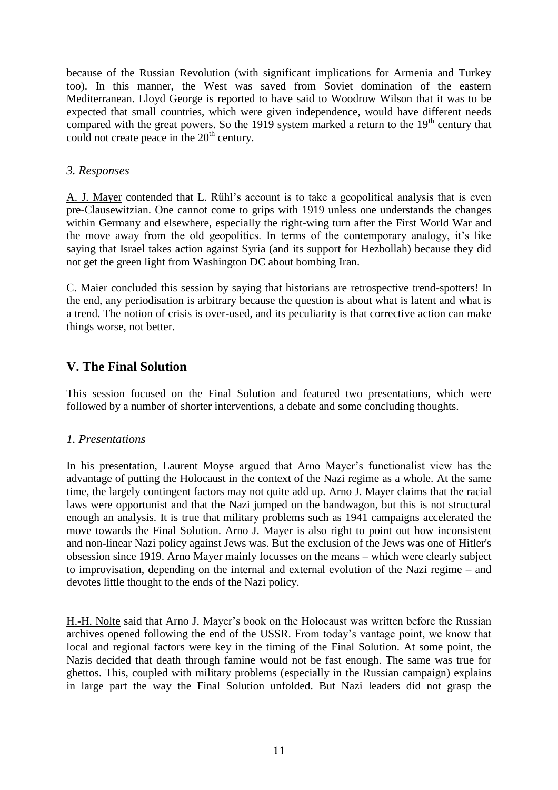because of the Russian Revolution (with significant implications for Armenia and Turkey too). In this manner, the West was saved from Soviet domination of the eastern Mediterranean. Lloyd George is reported to have said to Woodrow Wilson that it was to be expected that small countries, which were given independence, would have different needs compared with the great powers. So the 1919 system marked a return to the  $19<sup>th</sup>$  century that could not create peace in the  $20<sup>th</sup>$  century.

#### *3. Responses*

A. J. Mayer contended that L. Rühl's account is to take a geopolitical analysis that is even pre-Clausewitzian. One cannot come to grips with 1919 unless one understands the changes within Germany and elsewhere, especially the right-wing turn after the First World War and the move away from the old geopolitics. In terms of the contemporary analogy, it's like saying that Israel takes action against Syria (and its support for Hezbollah) because they did not get the green light from Washington DC about bombing Iran.

C. Maier concluded this session by saying that historians are retrospective trend-spotters! In the end, any periodisation is arbitrary because the question is about what is latent and what is a trend. The notion of crisis is over-used, and its peculiarity is that corrective action can make things worse, not better.

### **V. The Final Solution**

This session focused on the Final Solution and featured two presentations, which were followed by a number of shorter interventions, a debate and some concluding thoughts.

#### *1. Presentations*

In his presentation, Laurent Moyse argued that Arno Mayer's functionalist view has the advantage of putting the Holocaust in the context of the Nazi regime as a whole. At the same time, the largely contingent factors may not quite add up. Arno J. Mayer claims that the racial laws were opportunist and that the Nazi jumped on the bandwagon, but this is not structural enough an analysis. It is true that military problems such as 1941 campaigns accelerated the move towards the Final Solution. Arno J. Mayer is also right to point out how inconsistent and non-linear Nazi policy against Jews was. But the exclusion of the Jews was one of Hitler's obsession since 1919. Arno Mayer mainly focusses on the means – which were clearly subject to improvisation, depending on the internal and external evolution of the Nazi regime – and devotes little thought to the ends of the Nazi policy.

H.-H. Nolte said that Arno J. Mayer's book on the Holocaust was written before the Russian archives opened following the end of the USSR. From today's vantage point, we know that local and regional factors were key in the timing of the Final Solution. At some point, the Nazis decided that death through famine would not be fast enough. The same was true for ghettos. This, coupled with military problems (especially in the Russian campaign) explains in large part the way the Final Solution unfolded. But Nazi leaders did not grasp the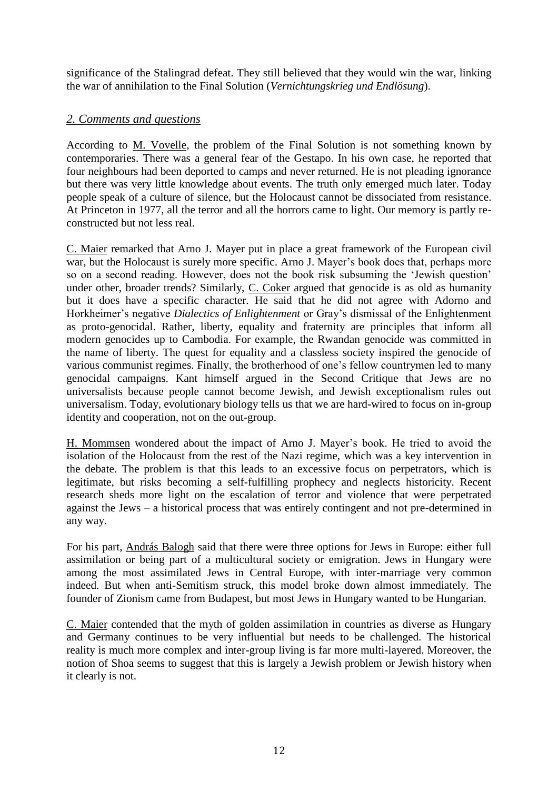significance of the Stalingrad defeat. They still believed that they would win the war, linking the war of annihilation to the Final Solution (*Vernichtungskrieg und Endlösung*).

### *2. Comments and questions*

According to M. Vovelle, the problem of the Final Solution is not something known by contemporaries. There was a general fear of the Gestapo. In his own case, he reported that four neighbours had been deported to camps and never returned. He is not pleading ignorance but there was very little knowledge about events. The truth only emerged much later. Today people speak of a culture of silence, but the Holocaust cannot be dissociated from resistance. At Princeton in 1977, all the terror and all the horrors came to light. Our memory is partly reconstructed but not less real.

C. Maier remarked that Arno J. Mayer put in place a great framework of the European civil war, but the Holocaust is surely more specific. Arno J. Mayer's book does that, perhaps more so on a second reading. However, does not the book risk subsuming the 'Jewish question' under other, broader trends? Similarly, C. Coker argued that genocide is as old as humanity but it does have a specific character. He said that he did not agree with Adorno and Horkheimer's negative *Dialectics of Enlightenment* or Gray's dismissal of the Enlightenment as proto-genocidal. Rather, liberty, equality and fraternity are principles that inform all modern genocides up to Cambodia. For example, the Rwandan genocide was committed in the name of liberty. The quest for equality and a classless society inspired the genocide of various communist regimes. Finally, the brotherhood of one's fellow countrymen led to many genocidal campaigns. Kant himself argued in the Second Critique that Jews are no universalists because people cannot become Jewish, and Jewish exceptionalism rules out universalism. Today, evolutionary biology tells us that we are hard-wired to focus on in-group identity and cooperation, not on the out-group.

H. Mommsen wondered about the impact of Arno J. Mayer's book. He tried to avoid the isolation of the Holocaust from the rest of the Nazi regime, which was a key intervention in the debate. The problem is that this leads to an excessive focus on perpetrators, which is legitimate, but risks becoming a self-fulfilling prophecy and neglects historicity. Recent research sheds more light on the escalation of terror and violence that were perpetrated against the Jews – a historical process that was entirely contingent and not pre-determined in any way.

For his part, András Balogh said that there were three options for Jews in Europe: either full assimilation or being part of a multicultural society or emigration. Jews in Hungary were among the most assimilated Jews in Central Europe, with inter-marriage very common indeed. But when anti-Semitism struck, this model broke down almost immediately. The founder of Zionism came from Budapest, but most Jews in Hungary wanted to be Hungarian.

C. Maier contended that the myth of golden assimilation in countries as diverse as Hungary and Germany continues to be very influential but needs to be challenged. The historical reality is much more complex and inter-group living is far more multi-layered. Moreover, the notion of Shoa seems to suggest that this is largely a Jewish problem or Jewish history when it clearly is not.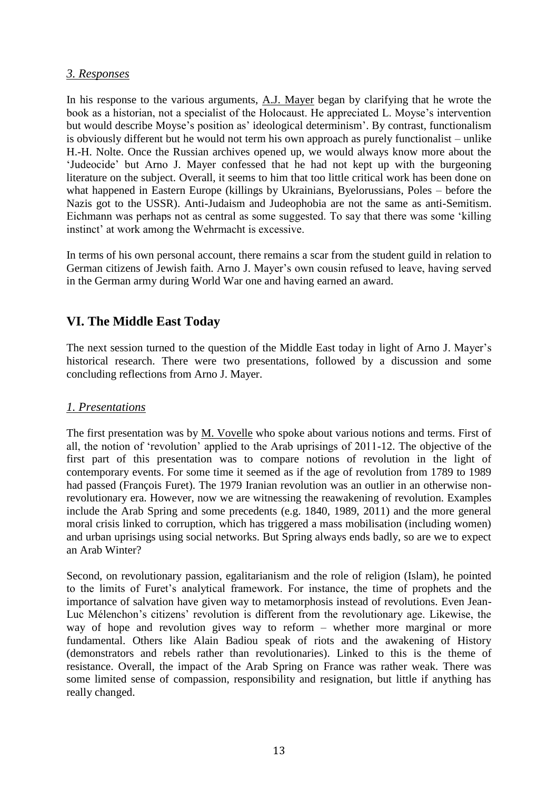#### *3. Responses*

In his response to the various arguments, A.J. Mayer began by clarifying that he wrote the book as a historian, not a specialist of the Holocaust. He appreciated L. Moyse's intervention but would describe Moyse's position as' ideological determinism'. By contrast, functionalism is obviously different but he would not term his own approach as purely functionalist – unlike H.-H. Nolte. Once the Russian archives opened up, we would always know more about the 'Judeocide' but Arno J. Mayer confessed that he had not kept up with the burgeoning literature on the subject. Overall, it seems to him that too little critical work has been done on what happened in Eastern Europe (killings by Ukrainians, Byelorussians, Poles – before the Nazis got to the USSR). Anti-Judaism and Judeophobia are not the same as anti-Semitism. Eichmann was perhaps not as central as some suggested. To say that there was some 'killing instinct' at work among the Wehrmacht is excessive.

In terms of his own personal account, there remains a scar from the student guild in relation to German citizens of Jewish faith. Arno J. Mayer's own cousin refused to leave, having served in the German army during World War one and having earned an award.

### **VI. The Middle East Today**

The next session turned to the question of the Middle East today in light of Arno J. Mayer's historical research. There were two presentations, followed by a discussion and some concluding reflections from Arno J. Mayer.

#### *1. Presentations*

The first presentation was by M. Vovelle who spoke about various notions and terms. First of all, the notion of 'revolution' applied to the Arab uprisings of 2011-12. The objective of the first part of this presentation was to compare notions of revolution in the light of contemporary events. For some time it seemed as if the age of revolution from 1789 to 1989 had passed (François Furet). The 1979 Iranian revolution was an outlier in an otherwise nonrevolutionary era. However, now we are witnessing the reawakening of revolution. Examples include the Arab Spring and some precedents (e.g. 1840, 1989, 2011) and the more general moral crisis linked to corruption, which has triggered a mass mobilisation (including women) and urban uprisings using social networks. But Spring always ends badly, so are we to expect an Arab Winter?

Second, on revolutionary passion, egalitarianism and the role of religion (Islam), he pointed to the limits of Furet's analytical framework. For instance, the time of prophets and the importance of salvation have given way to metamorphosis instead of revolutions. Even Jean-Luc Mélenchon's citizens' revolution is different from the revolutionary age. Likewise, the way of hope and revolution gives way to reform – whether more marginal or more fundamental. Others like Alain Badiou speak of riots and the awakening of History (demonstrators and rebels rather than revolutionaries). Linked to this is the theme of resistance. Overall, the impact of the Arab Spring on France was rather weak. There was some limited sense of compassion, responsibility and resignation, but little if anything has really changed.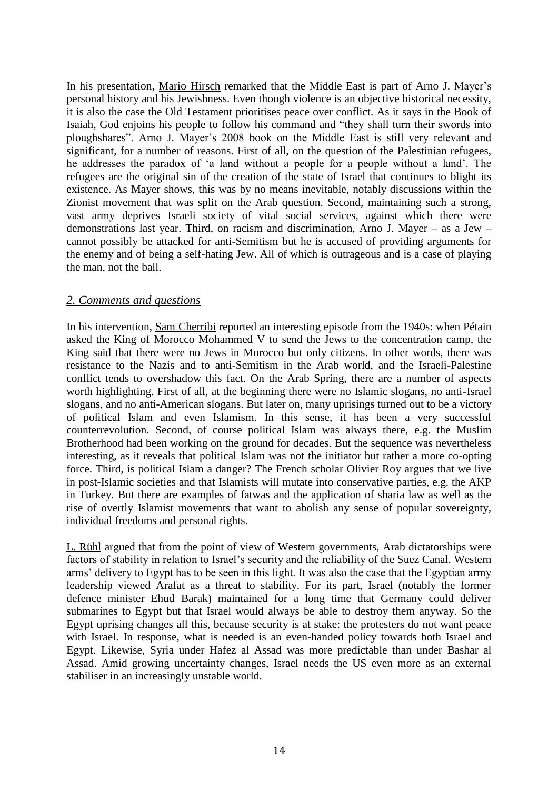In his presentation, Mario Hirsch remarked that the Middle East is part of Arno J. Mayer's personal history and his Jewishness. Even though violence is an objective historical necessity, it is also the case the Old Testament prioritises peace over conflict. As it says in the Book of Isaiah, God enjoins his people to follow his command and "they shall turn their swords into ploughshares". Arno J. Mayer's 2008 book on the Middle East is still very relevant and significant, for a number of reasons. First of all, on the question of the Palestinian refugees, he addresses the paradox of 'a land without a people for a people without a land'. The refugees are the original sin of the creation of the state of Israel that continues to blight its existence. As Mayer shows, this was by no means inevitable, notably discussions within the Zionist movement that was split on the Arab question. Second, maintaining such a strong, vast army deprives Israeli society of vital social services, against which there were demonstrations last year. Third, on racism and discrimination, Arno J. Mayer – as a Jew – cannot possibly be attacked for anti-Semitism but he is accused of providing arguments for the enemy and of being a self-hating Jew. All of which is outrageous and is a case of playing the man, not the ball.

#### *2. Comments and questions*

In his intervention, Sam Cherribi reported an interesting episode from the 1940s: when Pétain asked the King of Morocco Mohammed V to send the Jews to the concentration camp, the King said that there were no Jews in Morocco but only citizens. In other words, there was resistance to the Nazis and to anti-Semitism in the Arab world, and the Israeli-Palestine conflict tends to overshadow this fact. On the Arab Spring, there are a number of aspects worth highlighting. First of all, at the beginning there were no Islamic slogans, no anti-Israel slogans, and no anti-American slogans. But later on, many uprisings turned out to be a victory of political Islam and even Islamism. In this sense, it has been a very successful counterrevolution. Second, of course political Islam was always there, e.g. the Muslim Brotherhood had been working on the ground for decades. But the sequence was nevertheless interesting, as it reveals that political Islam was not the initiator but rather a more co-opting force. Third, is political Islam a danger? The French scholar Olivier Roy argues that we live in post-Islamic societies and that Islamists will mutate into conservative parties, e.g. the AKP in Turkey. But there are examples of fatwas and the application of sharia law as well as the rise of overtly Islamist movements that want to abolish any sense of popular sovereignty, individual freedoms and personal rights.

L. Rühl argued that from the point of view of Western governments, Arab dictatorships were factors of stability in relation to Israel's security and the reliability of the Suez Canal. Western arms' delivery to Egypt has to be seen in this light. It was also the case that the Egyptian army leadership viewed Arafat as a threat to stability. For its part, Israel (notably the former defence minister Ehud Barak) maintained for a long time that Germany could deliver submarines to Egypt but that Israel would always be able to destroy them anyway. So the Egypt uprising changes all this, because security is at stake: the protesters do not want peace with Israel. In response, what is needed is an even-handed policy towards both Israel and Egypt. Likewise, Syria under Hafez al Assad was more predictable than under Bashar al Assad. Amid growing uncertainty changes, Israel needs the US even more as an external stabiliser in an increasingly unstable world.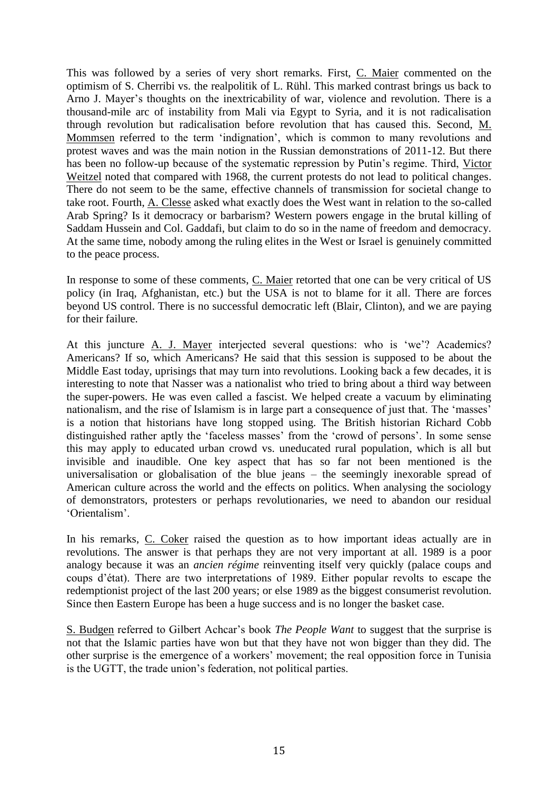This was followed by a series of very short remarks. First, C. Maier commented on the optimism of S. Cherribi vs. the realpolitik of L. Rühl. This marked contrast brings us back to Arno J. Mayer's thoughts on the inextricability of war, violence and revolution. There is a thousand-mile arc of instability from Mali via Egypt to Syria, and it is not radicalisation through revolution but radicalisation before revolution that has caused this. Second, M. Mommsen referred to the term 'indignation', which is common to many revolutions and protest waves and was the main notion in the Russian demonstrations of 2011-12. But there has been no follow-up because of the systematic repression by Putin's regime. Third, Victor Weitzel noted that compared with 1968, the current protests do not lead to political changes. There do not seem to be the same, effective channels of transmission for societal change to take root. Fourth, A. Clesse asked what exactly does the West want in relation to the so-called Arab Spring? Is it democracy or barbarism? Western powers engage in the brutal killing of Saddam Hussein and Col. Gaddafi, but claim to do so in the name of freedom and democracy. At the same time, nobody among the ruling elites in the West or Israel is genuinely committed to the peace process.

In response to some of these comments, C. Maier retorted that one can be very critical of US policy (in Iraq, Afghanistan, etc.) but the USA is not to blame for it all. There are forces beyond US control. There is no successful democratic left (Blair, Clinton), and we are paying for their failure.

At this juncture A. J. Mayer interjected several questions: who is 'we'? Academics? Americans? If so, which Americans? He said that this session is supposed to be about the Middle East today, uprisings that may turn into revolutions. Looking back a few decades, it is interesting to note that Nasser was a nationalist who tried to bring about a third way between the super-powers. He was even called a fascist. We helped create a vacuum by eliminating nationalism, and the rise of Islamism is in large part a consequence of just that. The 'masses' is a notion that historians have long stopped using. The British historian Richard Cobb distinguished rather aptly the 'faceless masses' from the 'crowd of persons'. In some sense this may apply to educated urban crowd vs. uneducated rural population, which is all but invisible and inaudible. One key aspect that has so far not been mentioned is the universalisation or globalisation of the blue jeans – the seemingly inexorable spread of American culture across the world and the effects on politics. When analysing the sociology of demonstrators, protesters or perhaps revolutionaries, we need to abandon our residual 'Orientalism'.

In his remarks, C. Coker raised the question as to how important ideas actually are in revolutions. The answer is that perhaps they are not very important at all. 1989 is a poor analogy because it was an *ancien régime* reinventing itself very quickly (palace coups and coups d'état). There are two interpretations of 1989. Either popular revolts to escape the redemptionist project of the last 200 years; or else 1989 as the biggest consumerist revolution. Since then Eastern Europe has been a huge success and is no longer the basket case.

S. Budgen referred to Gilbert Achcar's book *The People Want* to suggest that the surprise is not that the Islamic parties have won but that they have not won bigger than they did. The other surprise is the emergence of a workers' movement; the real opposition force in Tunisia is the UGTT, the trade union's federation, not political parties.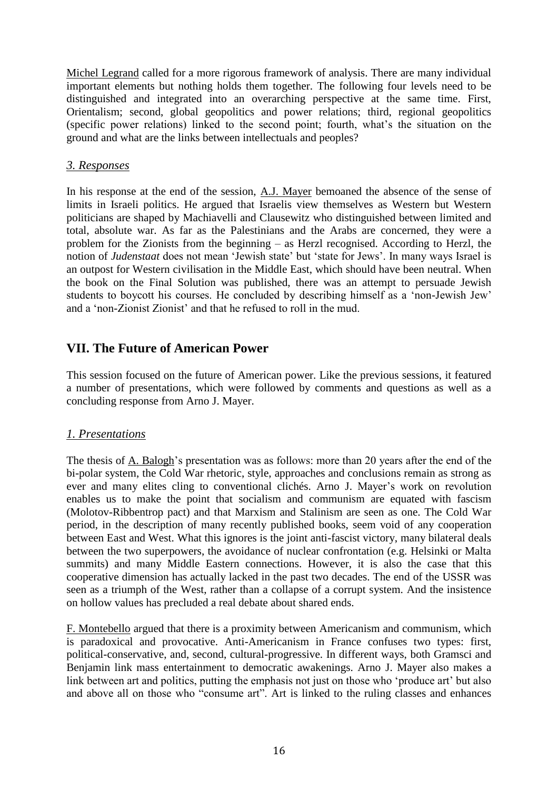Michel Legrand called for a more rigorous framework of analysis. There are many individual important elements but nothing holds them together. The following four levels need to be distinguished and integrated into an overarching perspective at the same time. First, Orientalism; second, global geopolitics and power relations; third, regional geopolitics (specific power relations) linked to the second point; fourth, what's the situation on the ground and what are the links between intellectuals and peoples?

#### *3. Responses*

In his response at the end of the session, A.J. Mayer bemoaned the absence of the sense of limits in Israeli politics. He argued that Israelis view themselves as Western but Western politicians are shaped by Machiavelli and Clausewitz who distinguished between limited and total, absolute war. As far as the Palestinians and the Arabs are concerned, they were a problem for the Zionists from the beginning – as Herzl recognised. According to Herzl, the notion of *Judenstaat* does not mean 'Jewish state' but 'state for Jews'. In many ways Israel is an outpost for Western civilisation in the Middle East, which should have been neutral. When the book on the Final Solution was published, there was an attempt to persuade Jewish students to boycott his courses. He concluded by describing himself as a 'non-Jewish Jew' and a 'non-Zionist Zionist' and that he refused to roll in the mud.

### **VII. The Future of American Power**

This session focused on the future of American power. Like the previous sessions, it featured a number of presentations, which were followed by comments and questions as well as a concluding response from Arno J. Mayer.

#### *1. Presentations*

The thesis of A. Balogh's presentation was as follows: more than 20 years after the end of the bi-polar system, the Cold War rhetoric, style, approaches and conclusions remain as strong as ever and many elites cling to conventional clichés. Arno J. Mayer's work on revolution enables us to make the point that socialism and communism are equated with fascism (Molotov-Ribbentrop pact) and that Marxism and Stalinism are seen as one. The Cold War period, in the description of many recently published books, seem void of any cooperation between East and West. What this ignores is the joint anti-fascist victory, many bilateral deals between the two superpowers, the avoidance of nuclear confrontation (e.g. Helsinki or Malta summits) and many Middle Eastern connections. However, it is also the case that this cooperative dimension has actually lacked in the past two decades. The end of the USSR was seen as a triumph of the West, rather than a collapse of a corrupt system. And the insistence on hollow values has precluded a real debate about shared ends.

F. Montebello argued that there is a proximity between Americanism and communism, which is paradoxical and provocative. Anti-Americanism in France confuses two types: first, political-conservative, and, second, cultural-progressive. In different ways, both Gramsci and Benjamin link mass entertainment to democratic awakenings. Arno J. Mayer also makes a link between art and politics, putting the emphasis not just on those who 'produce art' but also and above all on those who "consume art". Art is linked to the ruling classes and enhances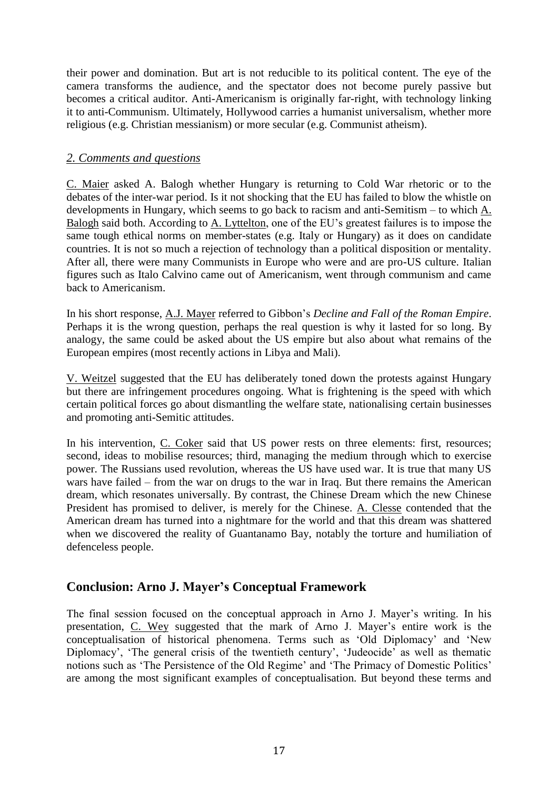their power and domination. But art is not reducible to its political content. The eye of the camera transforms the audience, and the spectator does not become purely passive but becomes a critical auditor. Anti-Americanism is originally far-right, with technology linking it to anti-Communism. Ultimately, Hollywood carries a humanist universalism, whether more religious (e.g. Christian messianism) or more secular (e.g. Communist atheism).

#### *2. Comments and questions*

C. Maier asked A. Balogh whether Hungary is returning to Cold War rhetoric or to the debates of the inter-war period. Is it not shocking that the EU has failed to blow the whistle on developments in Hungary, which seems to go back to racism and anti-Semitism – to which A. Balogh said both. According to  $\underline{A}$ . Lyttelton, one of the EU's greatest failures is to impose the same tough ethical norms on member-states (e.g. Italy or Hungary) as it does on candidate countries. It is not so much a rejection of technology than a political disposition or mentality. After all, there were many Communists in Europe who were and are pro-US culture. Italian figures such as Italo Calvino came out of Americanism, went through communism and came back to Americanism.

In his short response, A.J. Mayer referred to Gibbon's *Decline and Fall of the Roman Empire*. Perhaps it is the wrong question, perhaps the real question is why it lasted for so long. By analogy, the same could be asked about the US empire but also about what remains of the European empires (most recently actions in Libya and Mali).

V. Weitzel suggested that the EU has deliberately toned down the protests against Hungary but there are infringement procedures ongoing. What is frightening is the speed with which certain political forces go about dismantling the welfare state, nationalising certain businesses and promoting anti-Semitic attitudes.

In his intervention, C. Coker said that US power rests on three elements: first, resources; second, ideas to mobilise resources; third, managing the medium through which to exercise power. The Russians used revolution, whereas the US have used war. It is true that many US wars have failed – from the war on drugs to the war in Iraq. But there remains the American dream, which resonates universally. By contrast, the Chinese Dream which the new Chinese President has promised to deliver, is merely for the Chinese. A. Clesse contended that the American dream has turned into a nightmare for the world and that this dream was shattered when we discovered the reality of Guantanamo Bay, notably the torture and humiliation of defenceless people.

### **Conclusion: Arno J. Mayer's Conceptual Framework**

The final session focused on the conceptual approach in Arno J. Mayer's writing. In his presentation, C. Wey suggested that the mark of Arno J. Mayer's entire work is the conceptualisation of historical phenomena. Terms such as 'Old Diplomacy' and 'New Diplomacy', 'The general crisis of the twentieth century', 'Judeocide' as well as thematic notions such as 'The Persistence of the Old Regime' and 'The Primacy of Domestic Politics' are among the most significant examples of conceptualisation. But beyond these terms and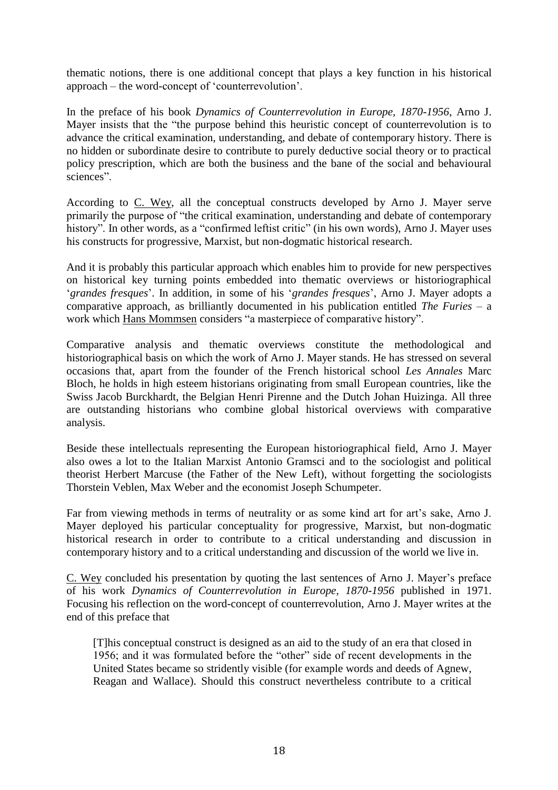thematic notions, there is one additional concept that plays a key function in his historical approach – the word-concept of 'counterrevolution'.

In the preface of his book *Dynamics of Counterrevolution in Europe, 1870-1956*, Arno J. Mayer insists that the "the purpose behind this heuristic concept of counterrevolution is to advance the critical examination, understanding, and debate of contemporary history. There is no hidden or subordinate desire to contribute to purely deductive social theory or to practical policy prescription, which are both the business and the bane of the social and behavioural sciences".

According to C. Wey, all the conceptual constructs developed by Arno J. Mayer serve primarily the purpose of "the critical examination, understanding and debate of contemporary history". In other words, as a "confirmed leftist critic" (in his own words), Arno J. Mayer uses his constructs for progressive, Marxist, but non-dogmatic historical research.

And it is probably this particular approach which enables him to provide for new perspectives on historical key turning points embedded into thematic overviews or historiographical '*grandes fresques*'. In addition, in some of his '*grandes fresques*', Arno J. Mayer adopts a comparative approach, as brilliantly documented in his publication entitled *The Furies* – a work which Hans Mommsen considers "a masterpiece of comparative history".

Comparative analysis and thematic overviews constitute the methodological and historiographical basis on which the work of Arno J. Mayer stands. He has stressed on several occasions that, apart from the founder of the French historical school *Les Annales* Marc Bloch, he holds in high esteem historians originating from small European countries, like the Swiss Jacob Burckhardt, the Belgian Henri Pirenne and the Dutch Johan Huizinga. All three are outstanding historians who combine global historical overviews with comparative analysis.

Beside these intellectuals representing the European historiographical field, Arno J. Mayer also owes a lot to the Italian Marxist Antonio Gramsci and to the sociologist and political theorist Herbert Marcuse (the Father of the New Left), without forgetting the sociologists Thorstein Veblen, Max Weber and the economist Joseph Schumpeter.

Far from viewing methods in terms of neutrality or as some kind art for art's sake, Arno J. Mayer deployed his particular conceptuality for progressive, Marxist, but non-dogmatic historical research in order to contribute to a critical understanding and discussion in contemporary history and to a critical understanding and discussion of the world we live in.

C. Wey concluded his presentation by quoting the last sentences of Arno J. Mayer's preface of his work *Dynamics of Counterrevolution in Europe, 1870-1956* published in 1971. Focusing his reflection on the word-concept of counterrevolution, Arno J. Mayer writes at the end of this preface that

[T]his conceptual construct is designed as an aid to the study of an era that closed in 1956; and it was formulated before the "other" side of recent developments in the United States became so stridently visible (for example words and deeds of Agnew, Reagan and Wallace). Should this construct nevertheless contribute to a critical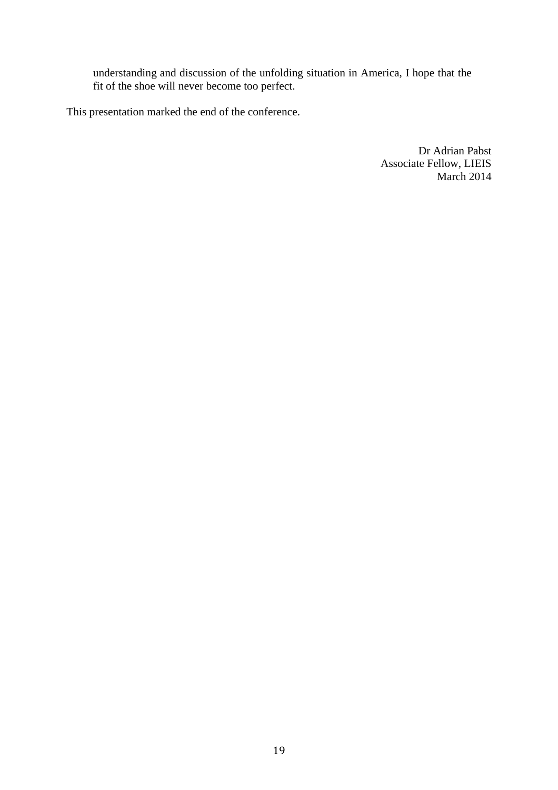understanding and discussion of the unfolding situation in America, I hope that the fit of the shoe will never become too perfect.

This presentation marked the end of the conference.

Dr Adrian Pabst Associate Fellow, LIEIS March 2014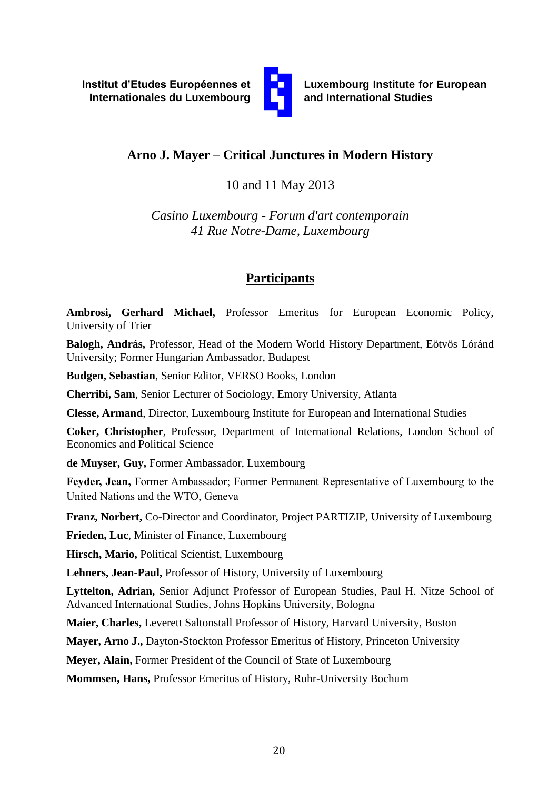

**Luxembourg Institute for European and International Studies**

# **Arno J. Mayer – Critical Junctures in Modern History**

10 and 11 May 2013

*Casino Luxembourg - Forum d'art contemporain 41 Rue Notre-Dame, Luxembourg*

# **Participants**

**Ambrosi, Gerhard Michael,** Professor Emeritus for European Economic Policy, University of Trier

**Balogh, András,** Professor, Head of the Modern World History Department, Eötvös Lóránd University; Former Hungarian Ambassador, Budapest

**Budgen, Sebastian**, Senior Editor, VERSO Books, London

**Cherribi, Sam**, Senior Lecturer of Sociology, Emory University, Atlanta

**Clesse, Armand**, Director, Luxembourg Institute for European and International Studies

**Coker, Christopher**, Professor, Department of International Relations, London School of Economics and Political Science

**de Muyser, Guy,** Former Ambassador, Luxembourg

**Feyder, Jean,** Former Ambassador; Former Permanent Representative of Luxembourg to the United Nations and the WTO, Geneva

**Franz, Norbert,** Co-Director and Coordinator, Project PARTIZIP, University of Luxembourg

**Frieden, Luc**, Minister of Finance, Luxembourg

**Hirsch, Mario,** Political Scientist, Luxembourg

**Lehners, Jean-Paul,** Professor of History, University of Luxembourg

**Lyttelton, Adrian,** Senior Adjunct Professor of European Studies, Paul H. Nitze School of Advanced International Studies, Johns Hopkins University, Bologna

**Maier, Charles,** Leverett Saltonstall Professor of History, Harvard University, Boston

**Mayer, Arno J.,** Dayton-Stockton Professor Emeritus of History, Princeton University

**Meyer, Alain,** Former President of the Council of State of Luxembourg

**Mommsen, Hans,** Professor Emeritus of History, Ruhr-University Bochum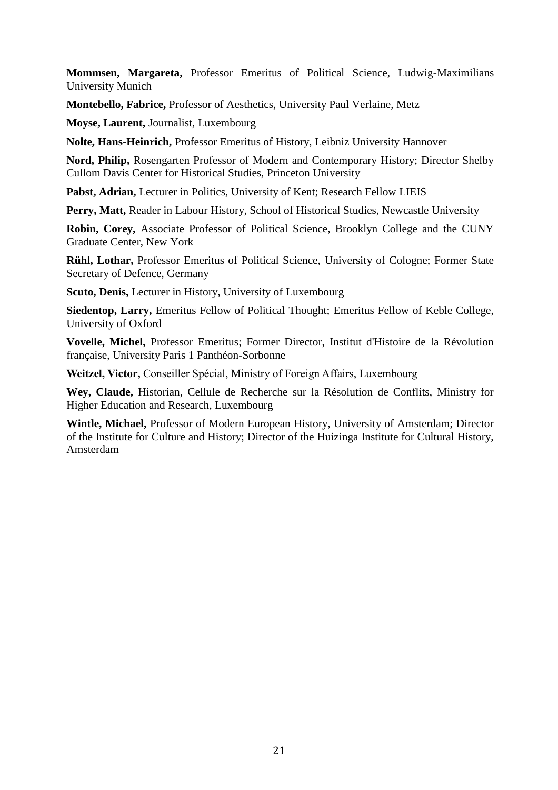**Mommsen, Margareta,** Professor Emeritus of Political Science, Ludwig-Maximilians University Munich

**Montebello, Fabrice,** Professor of Aesthetics, University Paul Verlaine, Metz

**Moyse, Laurent,** Journalist, Luxembourg

**Nolte, Hans-Heinrich,** Professor Emeritus of History, Leibniz University Hannover

**Nord, Philip,** Rosengarten Professor of Modern and Contemporary History; Director Shelby Cullom Davis Center for Historical Studies, Princeton University

**Pabst, Adrian,** Lecturer in Politics, University of Kent; Research Fellow LIEIS

**Perry, Matt,** Reader in Labour History, School of Historical Studies, Newcastle University

**Robin, Corey,** Associate Professor of Political Science, Brooklyn College and the CUNY Graduate Center, New York

**Rühl, Lothar,** Professor Emeritus of Political Science, University of Cologne; Former State Secretary of Defence, Germany

**Scuto, Denis,** Lecturer in History, University of Luxembourg

**Siedentop, Larry,** Emeritus Fellow of Political Thought; Emeritus Fellow of Keble College, University of Oxford

**Vovelle, Michel,** Professor Emeritus; Former Director, Institut d'Histoire de la Révolution française, University Paris 1 Panthéon-Sorbonne

**Weitzel, Victor,** Conseiller Spécial, Ministry of Foreign Affairs, Luxembourg

**Wey, Claude,** Historian, Cellule de Recherche sur la Résolution de Conflits, Ministry for Higher Education and Research, Luxembourg

**Wintle, Michael,** Professor of Modern European History, University of Amsterdam; Director of the Institute for Culture and History; Director of the Huizinga Institute for Cultural History, Amsterdam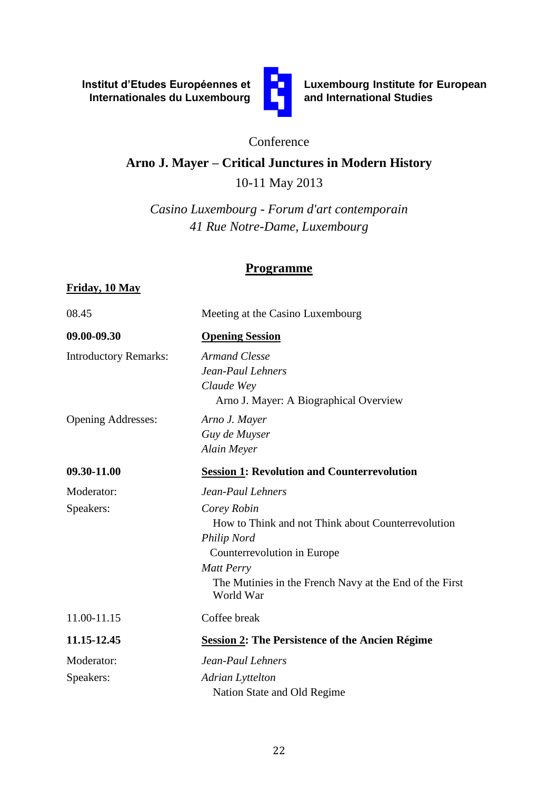**Institut d'Etudes Européennes et Internationales du Luxembourg**



**Luxembourg Institute for European and International Studies**

### Conference

### **Arno J. Mayer – Critical Junctures in Modern History**

10-11 May 2013

*Casino Luxembourg - Forum d'art contemporain 41 Rue Notre-Dame, Luxembourg*

### **Programme**

#### **Friday, 10 May**

08.45 Meeting at the Casino Luxembourg

**09.00-09.30 Opening Session**

Introductory Remarks: *Armand Clesse*

Opening Addresses: *Arno J. Mayer*

 Arno J. Mayer: A Biographical Overview *Guy de Muyser*

*Claude Wey*

*Jean-Paul Lehners*

*Alain Meyer* **09.30-11.00 Session 1: Revolution and Counterrevolution**

Moderator: *Jean-Paul Lehners* Speakers: *Corey Robin* How to Think and not Think about Counterrevolution *Philip Nord*  Counterrevolution in Europe *Matt Perry*  The Mutinies in the French Navy at the End of the First World War 11.00-11.15 Coffee break

**11.15-12.45 Session 2: The Persistence of the Ancien Régime** Moderator: *Jean-Paul Lehners*

Speakers: *Adrian Lyttelton*

Nation State and Old Regime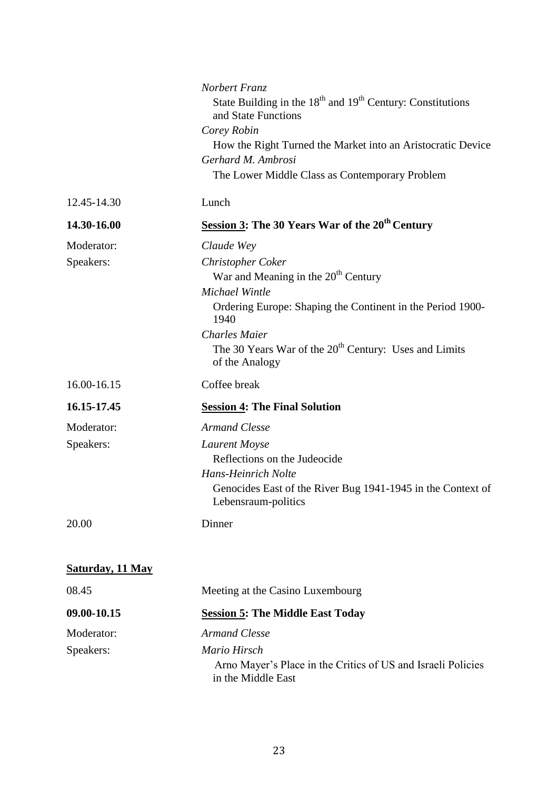|                         | Norbert Franz<br>State Building in the 18 <sup>th</sup> and 19 <sup>th</sup> Century: Constitutions<br>and State Functions<br>Corey Robin<br>How the Right Turned the Market into an Aristocratic Device<br>Gerhard M. Ambrosi<br>The Lower Middle Class as Contemporary Problem |
|-------------------------|----------------------------------------------------------------------------------------------------------------------------------------------------------------------------------------------------------------------------------------------------------------------------------|
| 12.45-14.30             | Lunch                                                                                                                                                                                                                                                                            |
| 14.30-16.00             | Session 3: The 30 Years War of the 20 <sup>th</sup> Century                                                                                                                                                                                                                      |
| Moderator:              | Claude Wey                                                                                                                                                                                                                                                                       |
| Speakers:               | <b>Christopher Coker</b>                                                                                                                                                                                                                                                         |
|                         | War and Meaning in the 20 <sup>th</sup> Century                                                                                                                                                                                                                                  |
|                         | Michael Wintle                                                                                                                                                                                                                                                                   |
|                         | Ordering Europe: Shaping the Continent in the Period 1900-<br>1940                                                                                                                                                                                                               |
|                         | <b>Charles Maier</b>                                                                                                                                                                                                                                                             |
|                         | The 30 Years War of the 20 <sup>th</sup> Century: Uses and Limits<br>of the Analogy                                                                                                                                                                                              |
| 16.00-16.15             | Coffee break                                                                                                                                                                                                                                                                     |
| 16.15-17.45             | <b>Session 4: The Final Solution</b>                                                                                                                                                                                                                                             |
| Moderator:              | <b>Armand Clesse</b>                                                                                                                                                                                                                                                             |
| Speakers:               | Laurent Moyse                                                                                                                                                                                                                                                                    |
|                         | Reflections on the Judeocide                                                                                                                                                                                                                                                     |
|                         | <b>Hans-Heinrich Nolte</b>                                                                                                                                                                                                                                                       |
|                         | Genocides East of the River Bug 1941-1945 in the Context of<br>Lebensraum-politics                                                                                                                                                                                               |
| 20.00                   | Dinner                                                                                                                                                                                                                                                                           |
|                         |                                                                                                                                                                                                                                                                                  |
| <b>Saturday, 11 May</b> |                                                                                                                                                                                                                                                                                  |
| 08.45                   | Meeting at the Casino Luxembourg                                                                                                                                                                                                                                                 |
| 09.00-10.15             | <b>Session 5: The Middle East Today</b>                                                                                                                                                                                                                                          |
| Moderator:              | <b>Armand Clesse</b>                                                                                                                                                                                                                                                             |
| Speakers:               | Mario Hirsch                                                                                                                                                                                                                                                                     |
|                         | Arno Mayer's Place in the Critics of US and Israeli Policies<br>in the Middle East                                                                                                                                                                                               |